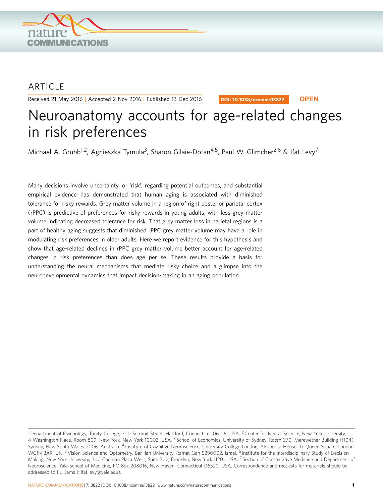

# **ARTICLE**

Received 21 May 2016 | Accepted 2 Nov 2016 | Published 13 Dec 2016

DOI: 10.1038/ncomms13822 **OPEN**

# Neuroanatomy accounts for age-related changes in risk preferences

Michael A. Grubb<sup>1,2</sup>, Agnieszka Tymula<sup>3</sup>, Sharon Gilaie-Dotan<sup>4,5</sup>, Paul W. Glimcher<sup>2,6</sup> & Ifat Levy<sup>7</sup>

Many decisions involve uncertainty, or 'risk', regarding potential outcomes, and substantial empirical evidence has demonstrated that human aging is associated with diminished tolerance for risky rewards. Grey matter volume in a region of right posterior parietal cortex (rPPC) is predictive of preferences for risky rewards in young adults, with less grey matter volume indicating decreased tolerance for risk. That grey matter loss in parietal regions is a part of healthy aging suggests that diminished rPPC grey matter volume may have a role in modulating risk preferences in older adults. Here we report evidence for this hypothesis and show that age-related declines in rPPC grey matter volume better account for age-related changes in risk preferences than does age per se. These results provide a basis for understanding the neural mechanisms that mediate risky choice and a glimpse into the neurodevelopmental dynamics that impact decision-making in an aging population.

<sup>&</sup>lt;sup>1</sup> Department of Psychology, Trinity College, 300 Summit Street, Hartford, Connecticut 06106, USA. <sup>2</sup> Center for Neural Science, New York University, 4 Washington Place, Room 809, New York, New York 10003, USA.<sup>3</sup> School of Economics, University of Sydney, Room 370, Merewether Building (H04), Sydney, New South Wales 2006, Australia. <sup>4</sup> Institute of Cognitive Neuroscience, University College London, Alexandra House, 17 Queen Square, London WC1N 3AR, UK. <sup>5</sup> Vision Science and Optometry, Bar Ilan University, Ramat Gan 5290002, Israel. <sup>6</sup> Institute for the Interdisciplinary Study of Decision Making, New York University, 300 Cadman Plaza West, Suite 702, Brooklyn, New York 11201, USA. <sup>7</sup> Section of Comparative Medicine and Department of Neuroscience, Yale School of Medicine, PO Box 208016, New Haven, Connecticut 06520, USA. Correspondence and requests for materials should be addressed to I.L. (email: [Ifat.levy@yale.edu\)](mailto:Ifat.levy@yale.edu).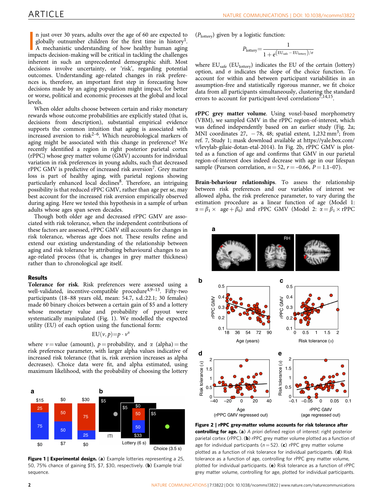<span id="page-1-0"></span>n just over 30 years, adults over the age of 60 are expected to globally outnumber children for the first time in history<sup>1</sup>. A mechanistic understanding of how healthy human aging impacts decision-making will be critical n just over 30 years, adults over the age of 60 are expected to globally outnumber children for the first time in history<sup>1</sup>. A mechanistic understanding of how healthy human aging inherent in such an unprecedented demographic shift. Most decisions involve uncertainty, or 'risk', regarding potential outcomes. Understanding age-related changes in risk preferences is, therefore, an important first step in forecasting how decisions made by an aging population might impact, for better or worse, political and economic processes at the global and local levels.

When older adults choose between certain and risky monetary rewards whose outcome probabilities are explicitly stated (that is, decisions from description), substantial empirical evidence supports the common intuition that aging is associated with increased aversion to risk<sup>2–6</sup>. Which neurobiological markers of aging might be associated with this change in preference? We recently identified a region in right posterior parietal cortex (rPPC) whose grey matter volume (GMV) accounts for individual variation in risk preferences in young adults, such that decreased rPPC GMV is predictive of increased risk aversion<sup>7</sup>. Grey matter loss is part of healthy aging, with parietal regions showing particularly enhanced local declines<sup>8</sup>. Therefore, an intriguing possibility is that reduced rPPC GMV, rather than age per se, may best account for the increased risk aversion empirically observed during aging. Here we tested this hypothesis in a sample of urban adults whose ages span seven decades.

Though both older age and decreased rPPC GMV are associated with risk tolerance, when the independent contributions of these factors are assessed, rPPC GMV still accounts for changes in risk tolerance, whereas age does not. These results refine and extend our existing understanding of the relationship between aging and risk tolerance by attributing behavioural changes to an age-related process (that is, changes in grey matter thickness) rather than to chronological age itself.

## Results

Tolerance for risk. Risk preferences were assessed using a well-validated, incentive-compatible procedure<sup>4,9-13</sup>. Fifty-two participants (18–88 years old, mean: 54.7, s.d.:22.1; 30 females) made 60 binary choices between a certain gain of \$5 and a lottery whose monetary value and probability of payout were systematically manipulated (Fig. 1). We modelled the expected utility (EU) of each option using the functional form:

$$
EU(v,p)=p\cdot v^{\alpha}
$$

where  $v =$  value (amount),  $p =$  probability, and  $\alpha$  (alpha) = the risk preference parameter, with larger alpha values indicative of increased risk tolerance (that is, risk aversion increases as alpha decreases). Choice data were fit, and alpha estimated, using maximum likelihood, with the probability of choosing the lottery



Figure 1 | Experimental design. (a) Example lotteries representing a 25, 50, 75% chance of gaining \$15, \$7, \$30, respectively. (b) Example trial sequence.

 $(P_{\text{lotterv}})$  given by a logistic function:

$$
P_{\text{lottery}} = \frac{1}{1 + e^{\left(EU_{\text{safe}} - EU_{\text{lottery}}\right) / \sigma}}
$$

where  $EU<sub>safe</sub> (EU<sub>lottery</sub>)$  indicates the EU of the certain (lottery) option, and  $\sigma$  indicates the slope of the choice function. To account for within and between participant variabilities in an assumption-free and statistically rigorous manner, we fit choice data from all participants simultaneously, clustering the standard errors to account for participant-level correlations<sup>7,14,15</sup>.

rPPC grey matter volume. Using voxel-based morphometry (VBM), we sampled GMV in the rPPC region-of-interest, which was defined independently based on an earlier study (Fig. 2a; MNI coordinates 27,  $-78$ , 48; spatial extent, 1,232 mm<sup>3</sup>; from [ref. 7](#page-4-0), Study 1; mask download available at [https://yale.box.com/](https://yale.box.com/v/levylab-gilaie-dotan-etal-2014) [v/levylab-gilaie-dotan-etal-2014\)](https://yale.box.com/v/levylab-gilaie-dotan-etal-2014). In Fig. 2b, rPPC GMV is plotted as a function of age and confirms that GMV in our parietal region-of-interest does indeed decrease with age in our lifespan sample (Pearson correlation,  $n = 52$ ,  $r = -0.66$ ,  $P = 1.1-07$ ).

Brain-behaviour relationships. To assess the relationship between risk preferences and our variables of interest we allowed alpha, the risk preference parameter, to vary during the estimation procedure as a linear function of age (Model 1:  $\alpha = \beta_1 \times \text{ age} + \beta_0$ ) and rPPC GMV (Model 2:  $\alpha = \beta_1 \times \text{rPPC}$ 



Figure 2 | rPPC grey-matter volume accounts for risk tolerance after controlling for age. (a) A priori defined region of interest: right posterior parietal cortex (rPPC). (b) rPPC grey matter volume plotted as a function of age for individual participants ( $n = 52$ ). (c) rPPC grey matter volume plotted as a function of risk tolerance for individual participants. (d) Risk tolerance as a function of age, controlling for rPPC grey matter volume, plotted for individual participants. (e) Risk tolerance as a function of rPPC grey matter volume, controlling for age, plotted for individual participants.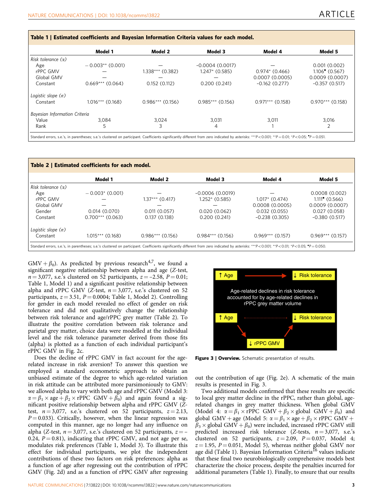<span id="page-2-0"></span>

|                               | Model 1            | Model 2            | Model 3            | Model 4            | Model 5                                         |
|-------------------------------|--------------------|--------------------|--------------------|--------------------|-------------------------------------------------|
| Risk tolerance $(\alpha)$     |                    |                    |                    |                    |                                                 |
| Age                           | $-0.003**$ (0.001) |                    | $-0.0004(0.0017)$  |                    | 0.001(0.002)                                    |
| rPPC GMV                      |                    | 1.338*** (0.382)   | $1.247*$ (0.585)   | $0.974*(0.466)$    | $1.106$ <sup><math>\bullet</math></sup> (0.567) |
| Global GMV                    |                    |                    |                    | 0.0007(0.0005)     | 0.0009(0.0007)                                  |
| Constant                      | $0.669***$ (0.064) | 0.152(0.112)       | 0.200(0.241)       | $-0.162(0.277)$    | $-0.357(0.517)$                                 |
| Logistic slope $(\sigma)$     |                    |                    |                    |                    |                                                 |
| Constant                      | $1.016***$ (0.168) | $0.986***$ (0.156) | $0.985***$ (0.156) | $0.971***$ (0.158) | $0.970***$ (0.158)                              |
| Bayesian Information Criteria |                    |                    |                    |                    |                                                 |
| Value                         | 3.084              | 3.024              | 3,031              | 3,011              | 3,016                                           |
| Rank                          | 5                  | 3                  | 4                  |                    |                                                 |

| Table 2   Estimated coefficients for each model.                                                                                                                                            |                    |                    |                    |                    |                           |  |  |  |
|---------------------------------------------------------------------------------------------------------------------------------------------------------------------------------------------|--------------------|--------------------|--------------------|--------------------|---------------------------|--|--|--|
|                                                                                                                                                                                             | Model 1            | Model 2            | Model 3            | Model 4            | Model 5                   |  |  |  |
| Risk tolerance $(\alpha)$                                                                                                                                                                   |                    |                    |                    |                    |                           |  |  |  |
| Age                                                                                                                                                                                         | $-0.003$ * (0.001) |                    | $-0.0006(0.0019)$  |                    | 0.0008(0.002)             |  |  |  |
| rPPC GMV                                                                                                                                                                                    |                    | $1.37***$ (0.417)  | $1.252*(0.585)$    | $1.017*$ (0.474)   | $1.111^{\bullet}$ (0.566) |  |  |  |
| Global GMV                                                                                                                                                                                  |                    |                    |                    | 0.0008(0.0005)     | 0.0009(0.0007)            |  |  |  |
| Gender                                                                                                                                                                                      | 0.014(0.070)       | 0.011(0.057)       | 0.020(0.062)       | 0.032(0.055)       | 0.027(0.058)              |  |  |  |
| Constant                                                                                                                                                                                    | $0.700***$ (0.063) | 0.137(0.138)       | 0.200(0.241)       | $-0.238(0.305)$    | $-0.380(0.517)$           |  |  |  |
| Logistic slope $(\sigma)$                                                                                                                                                                   |                    |                    |                    |                    |                           |  |  |  |
| Constant                                                                                                                                                                                    | $1.015***$ (0.168) | $0.986***$ (0.156) | $0.984***$ (0.156) | $0.969***$ (0.157) | $0.969***$ (0.157)        |  |  |  |
| Standard errors, s.e.'s, in parentheses; s.e.'s clustered on participant. Coefficients significantly different from zero indicated by asterisks: ***P<0.001; **P<0.01; *P<0.05; *P = 0.050. |                    |                    |                    |                    |                           |  |  |  |

GMV +  $\beta_0$ ). As predicted by previous research<sup>[4,7](#page-4-0)</sup>, we found a significant negative relationship between alpha and age (Z-test,  $n = 3,077$ , s.e.'s clustered on 52 participants,  $z = -2.58$ ,  $P = 0.01$ ; Table 1, Model 1) and a significant positive relationship between alpha and rPPC GMV (Z-test,  $n = 3,077$ , s.e.'s clustered on 52 participants,  $z = 3.51$ ,  $P = 0.0004$ ; Table 1, Model 2). Controlling for gender in each model revealed no effect of gender on risk tolerance and did not qualitatively change the relationship between risk tolerance and age/rPPC grey matter (Table 2). To illustrate the positive correlation between risk tolerance and parietal grey matter, choice data were modelled at the individual level and the risk tolerance parameter derived from those fits (alpha) is plotted as a function of each individual participant's rPPC GMV in [Fig. 2c](#page-1-0).

Does the decline of rPPC GMV in fact account for the agerelated increase in risk aversion? To answer this question we employed a standard econometric approach to obtain an unbiased estimate of the degree to which age-related variation in risk attitude can be attributed more parsimoniously to GMV: we allowed alpha to vary with both age and rPPC GMV (Model 3:  $\alpha = \beta_1 \times \text{age} + \beta_2 \times \text{rPPC}$  GMV +  $\tilde{\beta_0}$ ) and again found a significant positive relationship between alpha and rPPC GMV (Ztest,  $n = 3,077$ , s.e.'s clustered on 52 participants,  $z = 2.13$ ,  $P = 0.033$ ). Critically, however, when the linear regression was computed in this manner, age no longer had any influence on alpha (Z-test,  $n = 3,077$ , s.e.'s clustered on 52 participants,  $z = -$ 0.24,  $P = 0.81$ ), indicating that rPPC GMV, and not age per se, modulates risk preferences (Table 1, Model 3). To illustrate this effect for individual participants, we plot the independent contributions of these two factors on risk preferences: alpha as a function of age after regressing out the contribution of rPPC GMV ([Fig. 2d](#page-1-0)) and as a function of rPPC GMV after regressing



Figure 3 | Overview. Schematic presentation of results.

out the contribution of age [\(Fig. 2e](#page-1-0)). A schematic of the main results is presented in Fig. 3.

Two additional models confirmed that these results are specific to local grey matter decline in the rPPC, rather than global, agerelated changes in grey matter thickness. When global GMV (Model 4:  $\alpha = \beta_1 \times \text{rPPC}$  GMV +  $\beta_2 \times \text{global}$  GMV +  $\beta_0$ ) and global GMV + age (Model 5:  $\alpha = \beta_1 \times$  age +  $\beta_2 \times$  rPPC GMV +  $\beta_3 \times$  global GMV +  $\beta_0$ ) were included, increased rPPC GMV still predicted increased risk tolerance (Z-tests,  $n = 3,077$ , s.e.'s clustered on 52 participants,  $z = 2.09$ ,  $P = 0.037$ , Model 4;  $z = 1.95$ ,  $P = 0.051$ , Model 5), whereas neither global GMV nor age did (Table 1). Bayesian Information Criteria<sup>[16](#page-4-0)</sup> values indicate that these final two neurobiologically comprehensive models best characterize the choice process, despite the penalties incurred for additional parameters (Table 1). Finally, to ensure that our results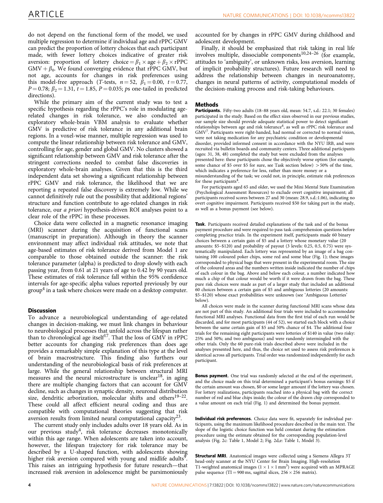do not depend on the functional form of the model, we used multiple regression to determine if individual age and rPPC GMV can predict the proportion of lottery choices that each participant made, with fewer lottery choices indicative of greater risk aversion: proportion of lottery choice =  $\beta_1 \times$  age +  $\beta_2 \times$  rPPC  $\text{GMV} + \beta_0$ . We found converging evidence that rPPC GMV, but not age, accounts for changes in risk preferences using this model-free approach (T-tests,  $n = 52$ ,  $\beta_1 = 0.00$ ,  $t = 0.77$ ,  $P = 0.78$ ;  $\beta_2 = 1.31$ ,  $t = 1.85$ ,  $P = 0.035$ ; ps one-tailed in predicted directions).

While the primary aim of the current study was to test a specific hypothesis regarding the rPPC's role in modulating agerelated changes in risk tolerance, we also conducted an exploratory whole-brain VBM analysis to evaluate whether GMV is predictive of risk tolerance in any additional brain regions. In a voxel-wise manner, multiple regression was used to compute the linear relationship between risk tolerance and GMV, controlling for age, gender and global GMV. No clusters showed a significant relationship between GMV and risk tolerance after the stringent corrections needed to combat false discoveries in exploratory whole-brain analyses. Given that this is the third independent data set showing a significant relationship between rPPC GMV and risk tolerance, the likelihood that we are reporting a repeated false discovery is extremely low. While we cannot definitively rule out the possibility that additional regions' structure and function contribute to age-related changes in risk tolerance, our a priori hypothesis-driven ROI analyses point to a clear role of the rPPC in these processes.

Choice data were collected in a magnetic resonance imaging (MRI) scanner during the acquisition of functional scans (manuscript in preparation). Although in theory the scanner environment may affect individual risk attitudes, we note that age-based estimates of risk tolerance derived from Model 1 are comparable to those obtained outside the scanner: the risk tolerance parameter (alpha) is predicted to drop slowly with each passing year, from 0.61 at 21 years of age to 0.42 by 90 years old. These estimates of risk tolerance fall within the 95% confidence intervals for age-specific alpha values reported previously by our  $group<sup>4</sup>$  $group<sup>4</sup>$  $group<sup>4</sup>$  in a task where choices were made on a desktop computer.

# **Discussion**

To advance a neurobiological understanding of age-related changes in decision-making, we must link changes in behaviour to neurobiological processes that unfold across the lifespan rather than to chronological age itself<sup>17</sup>. That the loss of GMV in rPPC better accounts for changing risk preferences than does age provides a remarkably simple explanation of this type at the level of brain macrostructure. This finding also furthers our understanding of the neurobiological basis of risk preferences at large. While the general relationship between structural MRI measures and the neural microstructure is unclear<sup>18</sup>, in aging there are multiple changing factors that can account for GMV decline, such as changes in synaptic density, neuronal distribution size, dendritic arborization, molecular shifts and others<sup>19–22</sup>. These could all affect efficient neural coding and thus are compatible with computational theories suggesting that risk aversion results from limited neural computational capacity<sup>23</sup>.

The current study only includes adults over 18 years old. As in our previous study<sup>4</sup>, risk tolerance decreases monotonically within this age range. When adolescents are taken into account, however, the lifespan trajectory for risk tolerance may be described by a U-shaped function, with adolescents showing higher risk aversion compared with young and midlife adults<sup>9</sup>. This raises an intriguing hypothesis for future research—that increased risk aversion in adolescence might be parsimoniously

accounted for by changes in rPPC GMV during childhood and adolescent development.

Finally, it should be emphasized that risk taking in real life involves multiple, dissociable components<sup>10,24–26</sup> (for example, attitudes to 'ambiguity', or unknown risks, loss aversion, learning of implicit probability structures). Future research will need to address the relationship between changes in neuroanatomy, changes in neural patterns of activity, computational models of the decision-making process and risk-taking behaviours.

# Methods

Participants. Fifty-two adults (18-88 years old, mean: 54.7, s.d.: 22.1; 30 females) participated in the study. Based on the effect sizes observed in our previous studies, our sample size should provide adequate statistical power to detect significant  $relationships between age and risk tolerance<sup>4</sup>, as well as rPPC risk tolerance and$ GMV[7.](#page-4-0) Participants were right-handed, had normal or corrected to normal vision, were not taking medication for any psychiatric condition or developmental disorder, provided informed consent in accordance with the NYU IRB, and were recruited via bulletin boards and community centers. Three additional participants (ages: 31, 38, 48) completed the study but were excluded from the analyses presented here: these participants chose the objectively worse option (for example, some chance of \$5 over \$5 for sure, see Task section below)  $>50\%$  of the time, which indicates a preference for less, rather than more money or a misunderstanding of the task; we could not, in principle, estimate risk preferences for these participants $4$ .

For participants aged 65 and older, we used the Mini Mental State Examination (Psychological Assessment Resources) to exclude overt cognitive impairment; all participants received scores between 27 and 30 (mean: 28.9, s.d.:1.06), indicating no overt cognitive impairment. Participants received \$50 for taking part in the study, as well as a bonus payment (see below).

Task. Participants received detailed explanations of the task and of the bonus payment procedure and were required to pass task comprehension questions before completing practice trials. In the experiment itself, participants made 60 binary choices between a certain gain of \$5 and a lottery whose monetary value (20 amounts: \$5–\$120) and probability of payout (3 levels: 0.25, 0.5, 0.75) were systematically manipulated. Each lottery was represented by an image of a bag containing 100 coloured poker chips, some red and some blue [\(Fig. 1](#page-1-0)); these images corresponded to physical bags that were present in the experimental room. The size of the coloured areas and the numbers written inside indicated the number of chips of each colour in the bag. Above and below each colour, a number indicated how much a chip of that colour would be worth if it were drawn from the bag. These pure risk choices were made as part of a larger study that included an additional 60 choices between a certain gain of \$5 and ambiguous lotteries (20 amounts: \$5–\$120) whose exact probabilities were unknown (see 'Ambiguous Lotteries' below).

All choices were made in the scanner during functional MRI scans whose data are not part of this study. An additional four trials were included to accommodate functional MRI analyses. Functional data from the first trial of each run would be discarded, and for most participants (44 of 52), we started each block with a choice between the same certain gain of \$5 and 50% chance of \$4. The additional four trials for the remaining eight participants were lotteries of \$140 in value (two risky: 25% and 50%; and two ambiguous) and were randomly intermingled with the other trials. Only the 60 pure-risk trials described above were included in the analyses presented here, and thus, the choice set used to assess risk preferences is identical across all participants. Trial order was randomized independently for each participant.

Bonus payment. One trial was randomly selected at the end of the experiment, and the choice made on this trial determined a participant's bonus earnings: \$5 if the certain amount was chosen, \$0 or some larger amount if the lottery was chosen. For lottery realizations, participants reached into a physical bag with the correct number of red and blue chips inside; the colour of the drawn chip corresponded to a value amount on each trial ([Fig. 1\)](#page-1-0) and determined the bonus payment.

Individual risk preferences. Choice data were fit, separately for individual participants, using the maximum likelihood procedure described in the main text. The slope of the logistic choice function was held constant during the estimation procedure using the estimate obtained for the corresponding population-level analysis ([Fig. 2c](#page-1-0): [Table 1,](#page-2-0) Model 2; [Fig. 2d,e](#page-1-0): [Table 1,](#page-2-0) Model 3).

Structural MRI. Anatomical images were collected using a Siemens Allegra 3T head-only scanner at the NYU Center for Brain Imaging. High-resolution T1-weighted anatomical images ( $1 \times 1 \times 1$  mm<sup>3</sup>) were acquired with an MPRAGE pulse sequence (TI = 900 ms, sagittal slices,  $256 \times 256$  matrix).